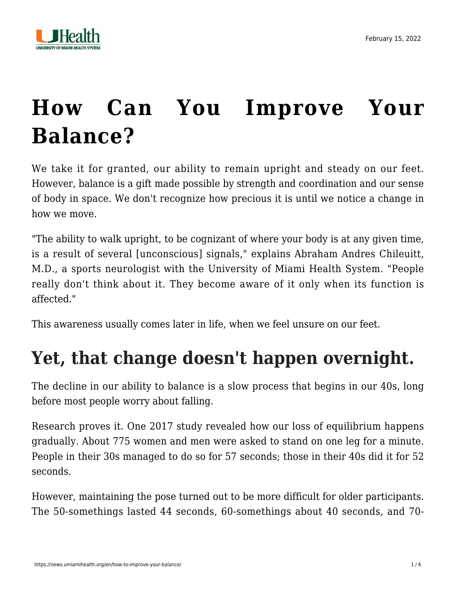

# **[How Can You Improve Your](https://news.umiamihealth.org/en/how-to-improve-your-balance/) [Balance?](https://news.umiamihealth.org/en/how-to-improve-your-balance/)**

We take it for granted, our ability to remain upright and steady on our feet. However, balance is a gift made possible by strength and coordination and our sense of body in space. We don't recognize how precious it is until we notice a change in how we move.

"The ability to walk upright, to be cognizant of where your body is at any given time, is a result of several [unconscious] signals," explains [Abraham Andres Chileuitt,](https://doctors.umiamihealth.org/provider/Abraham+Andres+Chileuitt/1384472?unified=Abraham%20Andres%20Chileuitt%2C%20M.D.&sort=relevance&tt=a41a931e-6b56-4a6e-9260-8ea1e126a1e5&ut=66f23840-13fd-4e6a-85e7-7690560ef315×tamp=2022-02-15T16%3A34%3A39.765Z&from=search-list) [M.D.,](https://doctors.umiamihealth.org/provider/Abraham+Andres+Chileuitt/1384472?unified=Abraham%20Andres%20Chileuitt%2C%20M.D.&sort=relevance&tt=a41a931e-6b56-4a6e-9260-8ea1e126a1e5&ut=66f23840-13fd-4e6a-85e7-7690560ef315×tamp=2022-02-15T16%3A34%3A39.765Z&from=search-list) a sports neurologist with the University of Miami Health System. "People really don't think about it. They become aware of it only when its function is affected."

This awareness usually comes later in life, when we feel unsure on our feet.

## **Yet, that change doesn't happen overnight.**

The decline in our ability to balance is a slow process that begins in our 40s, long before most people worry about falling.

Research proves it. One 2017 study revealed how our loss of equilibrium happens gradually. About 775 women and men were asked to stand on one leg for a minute. People in their 30s managed to do so for 57 seconds; those in their 40s did it for 52 seconds.

However, maintaining the pose turned out to be more difficult for older participants. The 50-somethings lasted 44 seconds, 60-somethings about 40 seconds, and 70-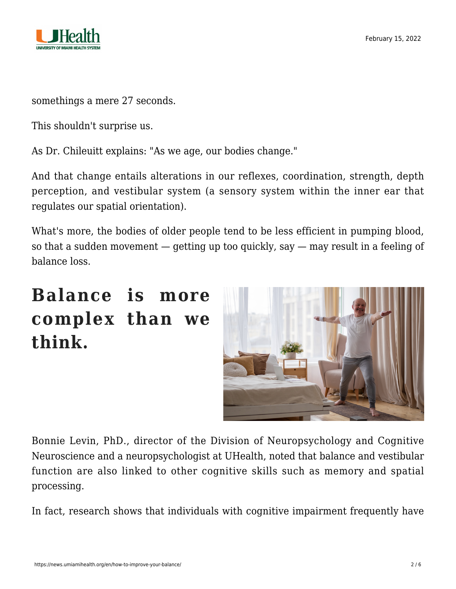

somethings a mere 27 seconds.

This shouldn't surprise us.

As Dr. Chileuitt explains: "As we age, our bodies change."

And that change entails alterations in our reflexes, coordination, strength, depth perception, and vestibular system (a sensory system within the inner ear that regulates our spatial orientation).

What's more, the bodies of older people tend to be less efficient in pumping blood, so that a sudden movement  $-$  getting up too quickly, say  $-$  may result in a feeling of balance loss.

#### **Balance is more complex than we think.**



[Bonnie Levin, PhD.](https://doctors.umiamihealth.org/provider/Bonnie+Levin/524875?unified=levin&sort=networks%2Crelevance&from=search-list), director of the Division of Neuropsychology and Cognitive Neuroscience and a neuropsychologist at UHealth, noted that balance and vestibular function are also linked to other cognitive skills such as memory and spatial processing.

In fact, research shows that individuals with cognitive impairment frequently have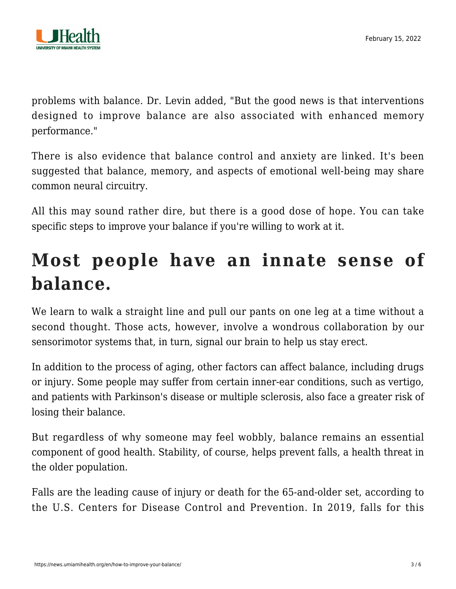

problems with balance. Dr. Levin added, "But the good news is that interventions designed to improve balance are also associated with enhanced memory performance."

There is also evidence that balance control and anxiety are linked. It's been suggested that balance, memory, and aspects of emotional well-being may share common neural circuitry.

All this may sound rather dire, but there is a good dose of hope. You can take specific steps to improve your balance if you're willing to work at it.

### **Most people have an innate sense of balance.**

We learn to walk a straight line and pull our pants on one leg at a time without a second thought. Those acts, however, involve a wondrous collaboration by our sensorimotor systems that, in turn, signal our brain to help us stay erect.

In addition to the process of aging, other factors can affect balance, including drugs or injury. Some people may suffer from certain inner-ear conditions, such as vertigo, and patients with Parkinson's disease or multiple sclerosis, also face a greater risk of losing their balance.

But regardless of why someone may feel wobbly, balance remains an essential component of good health. Stability, of course, helps prevent falls, a health threat in the older population.

Falls are the leading cause of injury or death for the 65-and-older set, according to the U.S. Centers for Disease Control and Prevention. In 2019, falls for this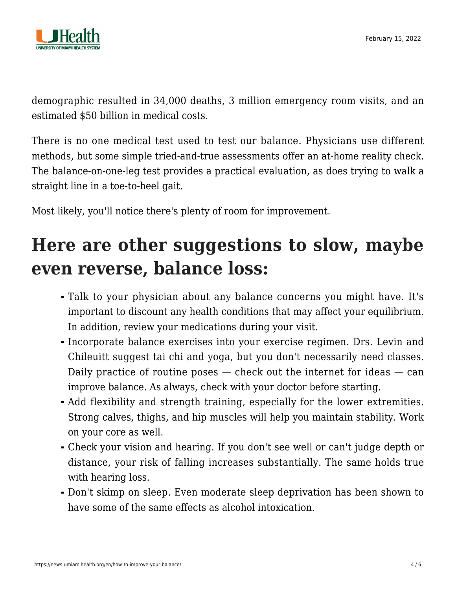

demographic resulted in 34,000 deaths, 3 million emergency room visits, and an estimated \$50 billion in medical costs.

There is no one medical test used to test our balance. Physicians use different methods, but some simple tried-and-true assessments offer an at-home reality check. The balance-on-one-leg test provides a practical evaluation, as does trying to walk a straight line in a toe-to-heel gait.

Most likely, you'll notice there's plenty of room for improvement.

### **Here are other suggestions to slow, maybe even reverse, balance loss:**

- Talk to your physician about any balance concerns you might have. It's important to discount any health conditions that may affect your equilibrium. In addition, review your medications during your visit.
- Incorporate balance exercises into your exercise regimen. Drs. Levin and Chileuitt suggest tai chi and yoga, but you don't necessarily need classes. Daily practice of routine poses — check out the internet for ideas — can improve balance. As always, check with your doctor before starting.
- Add flexibility and strength training, especially for the lower extremities. Strong calves, thighs, and hip muscles will help you maintain stability. Work on your core as well.
- Check your vision and hearing. If you don't see well or can't judge depth or distance, your risk of falling increases substantially. The same holds true with hearing loss.
- Don't skimp on sleep. Even moderate sleep deprivation has been shown to have some of the same effects as alcohol intoxication.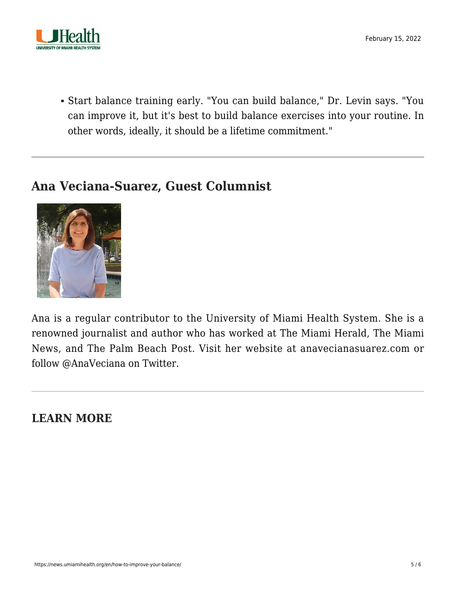

Start balance training early. "You can build balance," Dr. Levin says. "You can improve it, but it's best to build balance exercises into your routine. In other words, ideally, it should be a lifetime commitment."

#### **Ana Veciana-Suarez, Guest Columnist**



Ana is a regular contributor to the University of Miami Health System. She is a renowned journalist and author who has worked at The Miami Herald, The Miami News, and The Palm Beach Post. Visit her website at [anavecianasuarez.com](https://www.anavecianasuarez.com/) or follow [@AnaVeciana](https://twitter.com/AnaVeciana) on Twitter.

**LEARN MORE**